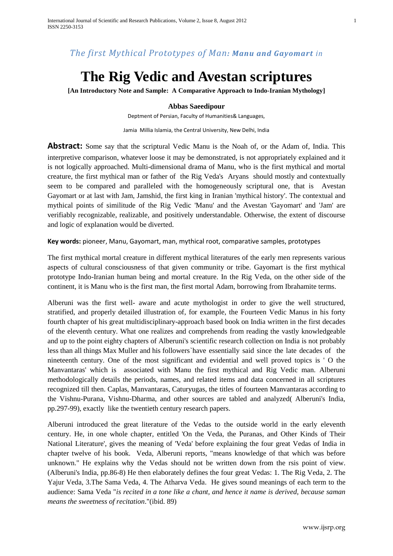# *The first Mythical Prototypes of Man: Manu and Gayomart in*

# **The Rig Vedic and Avestan scriptures**

**[An Introductory Note and Sample: A Comparative Approach to Indo-Iranian Mythology]**

#### **Abbas Saeedipour**

Deptment of Persian, Faculty of Humanities& Languages,

Jamia Millia Islamia, the Central University, New Delhi, India

**Abstract:** Some say that the scriptural Vedic Manu is the Noah of, or the Adam of, India. This interpretive comparison, whatever loose it may be demonstrated, is not appropriately explained and it is not logically approached. Multi-dimensional drama of Manu, who is the first mythical and mortal creature, the first mythical man or father of the Rig Veda's Aryans should mostly and contextually seem to be compared and paralleled with the homogeneously scriptural one, that is Avestan Gayomart or at last with Jam, Jamshid, the first king in Iranian 'mythical history'. The contextual and mythical points of similitude of the Rig Vedic 'Manu' and the Avestan 'Gayomart' and 'Jam' are verifiably recognizable, realizable, and positively understandable. Otherwise, the extent of discourse and logic of explanation would be diverted.

**Key words:** pioneer, Manu, Gayomart, man, mythical root, comparative samples, prototypes

The first mythical mortal creature in different mythical literatures of the early men represents various aspects of cultural consciousness of that given community or tribe. Gayomart is the first mythical prototype Indo-Iranian human being and mortal creature. In the Rig Veda, on the other side of the continent, it is Manu who is the first man, the first mortal Adam, borrowing from Ibrahamite terms.

Alberuni was the first well- aware and acute mythologist in order to give the well structured, stratified, and properly detailed illustration of, for example, the Fourteen Vedic Manus in his forty fourth chapter of his great multidisciplinary-approach based book on India written in the first decades of the eleventh century. What one realizes and comprehends from reading the vastly knowledgeable and up to the point eighty chapters of Alberuni's scientific research collection on India is not probably less than all things Max Muller and his followers`have essentially said since the late decades of the nineteenth century. One of the most significant and evidential and well proved topics is ' O the Manvantaras' which is associated with Manu the first mythical and Rig Vedic man. Alberuni methodologically details the periods, names, and related items and data concerned in all scriptures recognized till then. Caplas, Manvantaras, Caturyugas, the titles of fourteen Manvantaras according to the Vishnu-Purana, Vishnu-Dharma, and other sources are tabled and analyzed( Alberuni's India, pp.297-99), exactly like the twentieth century research papers.

Alberuni introduced the great literature of the Vedas to the outside world in the early eleventh century. He, in one whole chapter, entitled 'On the Veda, the Puranas, and Other Kinds of Their National Literature', gives the meaning of 'Veda' before explaining the four great Vedas of India in chapter twelve of his book. Veda, Alberuni reports, "means knowledge of that which was before unknown." He explains why the Vedas should not be written down from the rsis point of view. (Alberuni's India, pp.86-8) He then elaborately defines the four great Vedas: 1. The Rig Veda, 2. The Yajur Veda, 3.The Sama Veda, 4. The Atharva Veda. He gives sound meanings of each term to the audience: Sama Veda "*is recited in a tone like a chant, and hence it name is derived, because saman means the sweetness of recitation*."(ibid. 89)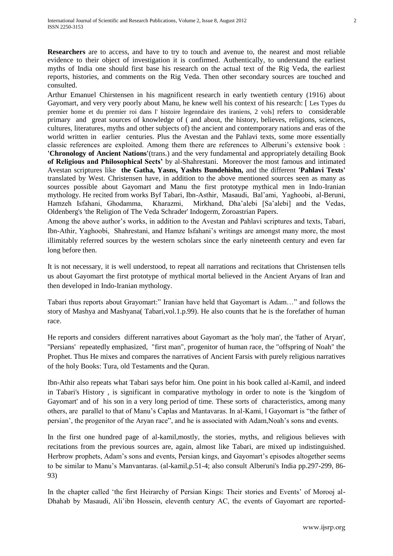**Researchers** are to access, and have to try to touch and avenue to, the nearest and most reliable evidence to their object of investigation it is confirmed. Authentically, to understand the earliest myths of India one should first base his research on the actual text of the Rig Veda, the earliest reports, histories, and comments on the Rig Veda. Then other secondary sources are touched and consulted.

Arthur Emanuel Chirstensen in his magnificent research in early twentieth century (1916) about Gayomart, and very very poorly about Manu, he knew well his context of his research: [ Les Types du premier home et du premier roi dans l' histoire legenndaire des iraniens, 2 vols] refers to considerable primary and great sources of knowledge of ( and about, the history, believes, religions, sciences, cultures, literatures, myths and other subjects of) the ancient and contemporary nations and eras of the world written in earlier centuries. Plus the Avestan and the Pahlavi texts, some more essentially classic references are exploited. Among them there are references to Alberuni"s extensive book : **'Chronology of Ancient Nations'**(trans.) and the very fundamental and appropriately detailing Book **of Religious and Philosophical Sects'** by al-Shahrestani. Moreover the most famous and intimated Avestan scriptures like **the Gatha, Yasns, Yashts Bundehishn,** and the different **'Pahlavi Texts'**  translated by West. Christensen have, in addition to the above mentioned sources seen as many as sources possible about Gayomart and Manu the first prototype mythical men in Indo-Iranian mythology. He recited from works Byf Tabari, Ibn-Asthir, Masaudi, Bal"ami, Yaghoobi, al-Beruni, Hamzeh Isfahani, Ghodamma, Kharazmi, Mirkhand, Dha"alebi [Sa"alebi] and the Vedas, Oldenberg's 'the Religion of The Veda Schrader' Indogerm, Zoroastrian Papers.

Among the above author"s works, in addition to the Avestan and Pahlavi scriptures and texts, Tabari, Ibn-Athir, Yaghoobi, Shahrestani, and Hamze Isfahani"s writings are amongst many more, the most illimitably referred sources by the western scholars since the early nineteenth century and even far long before then.

It is not necessary, it is well understood, to repeat all narrations and recitations that Christensen tells us about Gayomart the first prototype of mythical mortal believed in the Ancient Aryans of Iran and then developed in Indo-Iranian mythology.

Tabari thus reports about Grayomart:" Iranian have held that Gayomart is Adam…" and follows the story of Mashya and Mashyana( Tabari,vol.1.p.99). He also counts that he is the forefather of human race.

He reports and considers different narratives about Gayomart as the 'holy man', the 'father of Aryan', ''Persians' repeatedly emphasized, "first man", progenitor of human race, the "offspring of Noah" the Prophet. Thus He mixes and compares the narratives of Ancient Farsis with purely religious narratives of the holy Books: Tura, old Testaments and the Quran.

Ibn-Athir also repeats what Tabari says befor him. One point in his book called al-Kamil, and indeed in Tabari's History , is significant in comparative mythology in order to note is the 'kingdom of Gayomart' and of his son in a very long period of time. These sorts of characteristics, among many others, are parallel to that of Manu"s Caplas and Mantavaras. In al-Kami, l Gayomart is "the father of persian', the progenitor of the Aryan race", and he is associated with Adam, Noah's sons and events.

In the first one hundred page of al-kamil,mostly, the stories, myths, and religious believes with recitations from the previous sources are, again, almost like Tabari, are mixed up indistinguished. Herbrow prophets, Adam's sons and events, Persian kings, and Gayomart's episodes altogether seems to be similar to Manu"s Manvantaras. (al-kamil,p.51-4; also consult Alberuni's India pp.297-299, 86- 93)

In the chapter called "the first Heirarchy of Persian Kings: Their stories and Events" of Morooj al-Dhahab by Masaudi, Ali"ibn Hossein, eleventh century AC, the events of Gayomart are reported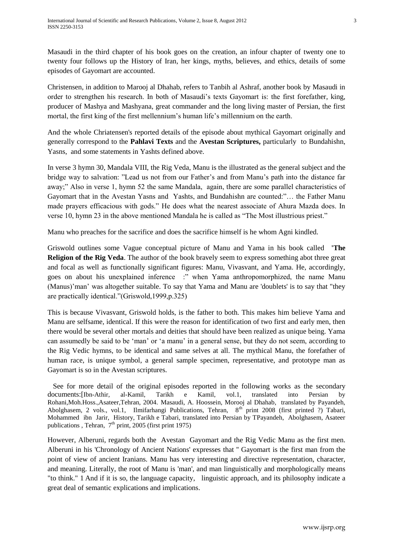Masaudi in the third chapter of his book goes on the creation, an infour chapter of twenty one to twenty four follows up the History of Iran, her kings, myths, believes, and ethics, details of some episodes of Gayomart are accounted.

Christensen, in addition to Marooj al Dhahab, refers to Tanbih al Ashraf, another book by Masaudi in order to strengthen his research. In both of Masaudi"s texts Gayomart is: the first forefather, king, producer of Mashya and Mashyana, great commander and the long living master of Persian, the first mortal, the first king of the first mellennium"s human life"s millennium on the earth.

And the whole Chriatensen's reported details of the episode about mythical Gayomart originally and generally correspond to the **Pahlavi Texts** and the **Avestan Scriptures,** particularly to Bundahishn, Yasns, and some statements in Yashts defined above.

In verse 3 hymn 30, Mandala VIII, the Rig Veda, Manu is the illustrated as the general subject and the bridge way to salvation: "Lead us not from our Father"s and from Manu"s path into the distance far away;" Also in verse 1, hymn 52 the same Mandala, again, there are some parallel characteristics of Gayomart that in the Avestan Yasns and Yashts, and Bundahishn are counted:"… the Father Manu made prayers efficacious with gods." He does what the nearest associate of Ahura Mazda does. In verse 10, hymn 23 in the above mentioned Mandala he is called as "The Most illustrious priest."

Manu who preaches for the sacrifice and does the sacrifice himself is he whom Agni kindled.

Griswold outlines some Vague conceptual picture of Manu and Yama in his book called **'The Religion of the Rig Veda**. The author of the book bravely seem to express something abot three great and focal as well as functionally significant figures: Manu, Vivasvant, and Yama. He, accordingly, goes on about his unexplained inference :" when Yama anthropomorphized, the name Manu (Manus)"man" was altogether suitable. To say that Yama and Manu are 'doublets' is to say that "they are practically identical."(Griswold,1999,p.325)

This is because Vivasvant, Griswold holds, is the father to both. This makes him believe Yama and Manu are selfsame, identical. If this were the reason for identification of two first and early men, then there would be several other mortals and deities that should have been realized as unique being. Yama can assumedly be said to be "man" or "a manu" in a general sense, but they do not seem, according to the Rig Vedic hymns, to be identical and same selves at all. The mythical Manu, the forefather of human race, is unique symbol, a general sample specimen, representative, and prototype man as Gayomart is so in the Avestan scriptures.

 See for more detail of the original episodes reported in the following works as the secondary documents:[Ibn-Athir, al-Kamil, Tarikh e Kamil, vol.1, translated into Persian by Rohani,Moh.Hoss.,Asateer,Tehran, 2004. Masaudi, A. Hoossein, Morooj al Dhahab, translated by Payandeh, Abolghasem, 2 vols., vol.1, Ilmifarhangi Publications, Tehran, 8<sup>th</sup> print 2008 (first printed ?) Tabari, Mohammed ibn Jarir, History, Tarikh e Tabari, translated into Persian by TPayandeh, Abolghasem, Asateer publications , Tehran,  $7<sup>th</sup>$  print, 2005 (first print 1975)

However, Alberuni, regards both the Avestan Gayomart and the Rig Vedic Manu as the first men. Alberuni in his 'Chronology of Ancient Nations' expresses that '' Gayomart is the first man from the point of view of ancient Iranians. Manu has very interesting and directive representation, character, and meaning. Literally, the root of Manu is 'man', and man linguistically and morphologically means "to think." 1 And if it is so, the language capacity, linguistic approach, and its philosophy indicate a great deal of semantic explications and implications.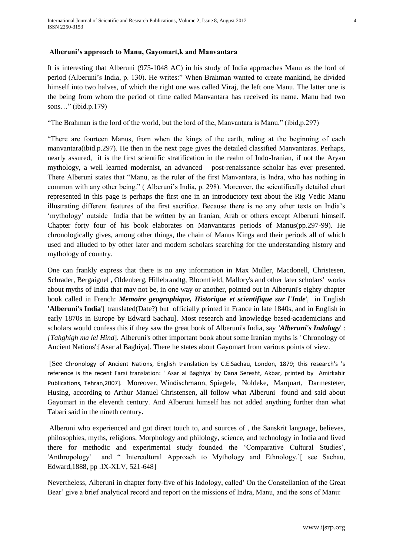## **Alberuni's approach to Manu, Gayomart,k and Manvantara**

It is interesting that Alberuni (975-1048 AC) in his study of India approaches Manu as the lord of period (Alberuni's India, p. 130). He writes:" When Brahman wanted to create mankind, he divided himself into two halves, of which the right one was called Viraj, the left one Manu. The latter one is the being from whom the period of time called Manvantara has received its name. Manu had two sons…" (ibid.p.179)

"The Brahman is the lord of the world, but the lord of the, Manvantara is Manu." (ibid,p.297)

"There are fourteen Manus, from when the kings of the earth, ruling at the beginning of each manvantara(ibid.p.297). He then in the next page gives the detailed classified Manvantaras. Perhaps, nearly assured, it is the first scientific stratification in the realm of Indo-Iranian, if not the Aryan mythology, a well learned modernist, an advanced post-renaissance scholar has ever presented. There Alberuni states that "Manu, as the ruler of the first Manvantara, is Indra, who has nothing in common with any other being." ( Alberuni"s India, p. 298). Moreover, the scientifically detailed chart represented in this page is perhaps the first one in an introductory text about the Rig Vedic Manu illustrating different features of the first sacrifice. Because there is no any other texts on India"s 'mythology' outside India that be written by an Iranian, Arab or others except Alberuni himself. Chapter forty four of his book elaborates on Manvantaras periods of Manus(pp.297-99). He chronologically gives, among other things, the chain of Manus Kings and their periods all of which used and alluded to by other later and modern scholars searching for the understanding history and mythology of country.

One can frankly express that there is no any information in Max Muller, Macdonell, Christesen, Schrader, Bergaignel , Oldenberg, Hillebrandtg, Bloomfield, Mallory's and other later scholars' works about myths of India that may not be, in one way or another, pointed out in Alberuni's eighty chapter book called in French: *Memoire geographique, Historique et scientifique sur l'Inde*', in English **'Alberuni's India'**[ translated(Date?) but officially printed in France in late 1840s, and in English in early 1870s in Europe by Edward Sachau]. Most research and knowledge based-academicians and scholars would confess this if they saw the great book of Alberuni's India, say *'Alberuni's Indology*' : *[Tahghigh ma lel Hind*]. Alberuni's other important book about some Iranian myths is ' Chronology of Ancient Nations':[Asar al Baghiya]. There he states about Gayomart from various points of view.

[See Chronology of Ancient Nations, English translation by C.E.Sachau, London, 1879; this research's 's reference is the recent Farsi translation: ' Asar al Baghiya' by Dana Seresht, Akbar, printed by Amirkabir Publications, Tehran,2007]. Moreover, Windischmann, Spiegele, Noldeke, Marquart, Darmesteter, Husing, according to Arthur Manuel Christensen, all follow what Alberuni found and said about Gayomart in the eleventh century. And Alberuni himself has not added anything further than what Tabari said in the nineth century.

Alberuni who experienced and got direct touch to, and sources of , the Sanskrit language, believes, philosophies, myths, religions, Morphology and philology, science, and technology in India and lived there for methodic and experimental study founded the "Comparative Cultural Studies", 'Anthropology' and " Intercultural Approach to Mythology and Ethnology."[ see Sachau, Edward,1888, pp .IX-XLV, 521-648]

Nevertheless, Alberuni in chapter forty-five of his Indology, called" On the Constellattion of the Great Bear' give a brief analytical record and report on the missions of Indra, Manu, and the sons of Manu: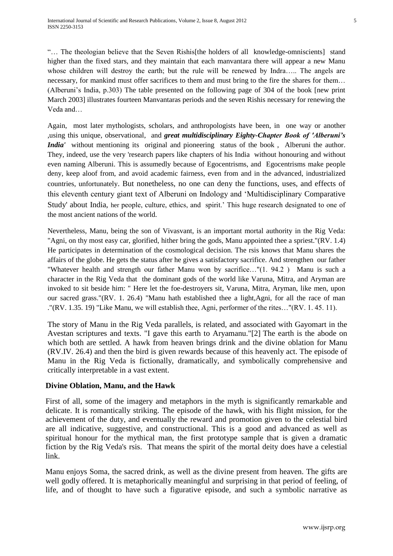"… The theologian believe that the Seven Rishis[the holders of all knowledge-omniscients] stand higher than the fixed stars, and they maintain that each manvantara there will appear a new Manu whose children will destroy the earth; but the rule will be renewed by Indra….. The angels are necessary, for mankind must offer sacrifices to them and must bring to the fire the shares for them... (Alberuni's India, p.303) The table presented on the following page of 304 of the book [new print] March 2003] illustrates fourteen Manvantaras periods and the seven Rishis necessary for renewing the Veda and…

Again, most later mythologists, scholars, and anthropologists have been, in one way or another ,using this unique, observational, and *great multidisciplinary Eighty-Chapter Book of 'Alberuni's India'* without mentioning its original and pioneering status of the book, Alberuni the author. They, indeed, use the very 'research papers like chapters of his India without honouring and without even naming Alberuni. This is assumedly because of Egocentrisms, and Egocentrisms make people deny, keep aloof from, and avoid academic fairness, even from and in the advanced, industrialized countries, unfortunately. But nonetheless, no one can deny the functions, uses, and effects of this eleventh century giant text of Alberuni on Indology and "Multidisciplinary Comparative Study' about India, her people, culture, ethics, and spirit.' This huge research designated to one of the most ancient nations of the world.

Nevertheless, Manu, being the son of Vivasvant, is an important mortal authority in the Rig Veda: "Agni, on thy most easy car, glorified, hither bring the gods, Manu appointed thee a spriest."(RV. 1.4) He participates in determination of the cosmological decision. The rsis knows that Manu shares the affairs of the globe. He gets the status after he gives a satisfactory sacrifice. And strengthen our father "Whatever health and strength our father Manu won by sacrifice…"(1. 94.2 ) Manu is such a character in the Rig Veda that the dominant gods of the world like Varuna, Mitra, and Aryman are invoked to sit beside him: " Here let the foe-destroyers sit, Varuna, Mitra, Aryman, like men, upon our sacred grass."(RV. 1. 26.4) "Manu hath established thee a light,Agni, for all the race of man ."(RV. 1.35. 19) "Like Manu, we will establish thee, Agni, performer of the rites…"(RV. 1. 45. 11).

The story of Manu in the Rig Veda parallels, is related, and associated with Gayomart in the Avestan scriptures and texts. "I gave this earth to Aryamanu."[2] The earth is the abode on which both are settled. A hawk from heaven brings drink and the divine oblation for Manu (RV.IV. 26.4) and then the bird is given rewards because of this heavenly act. The episode of Manu in the Rig Veda is fictionally, dramatically, and symbolically comprehensive and critically interpretable in a vast extent.

## **Divine Oblation, Manu, and the Hawk**

First of all, some of the imagery and metaphors in the myth is significantly remarkable and delicate. It is romantically striking. The episode of the hawk, with his flight mission, for the achievement of the duty, and eventually the reward and promotion given to the celestial bird are all indicative, suggestive, and constructional. This is a good and advanced as well as spiritual honour for the mythical man, the first prototype sample that is given a dramatic fiction by the Rig Veda's rsis. That means the spirit of the mortal deity does have a celestial link.

Manu enjoys Soma, the sacred drink, as well as the divine present from heaven. The gifts are well godly offered. It is metaphorically meaningful and surprising in that period of feeling, of life, and of thought to have such a figurative episode, and such a symbolic narrative as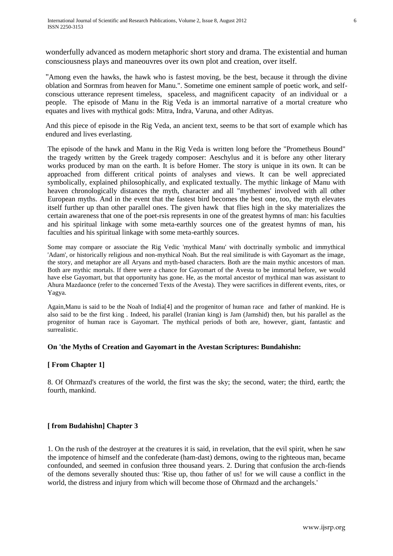wonderfully advanced as modern metaphoric short story and drama. The existential and human consciousness plays and maneouvres over its own plot and creation, over itself.

"Among even the hawks, the hawk who is fastest moving, be the best, because it through the divine oblation and Sormras from heaven for Manu.". Sometime one eminent sample of poetic work, and selfconscious utterance represent timeless, spaceless, and magnificent capacity of an individual or a people. The episode of Manu in the Rig Veda is an immortal narrative of a mortal creature who equates and lives with mythical gods: Mitra, Indra, Varuna, and other Adityas.

And this piece of episode in the Rig Veda, an ancient text, seems to be that sort of example which has endured and lives everlasting.

The episode of the hawk and Manu in the Rig Veda is written long before the "Prometheus Bound" the tragedy written by the Greek tragedy composer: Aeschylus and it is before any other literary works produced by man on the earth. It is before Homer. The story is unique in its own. It can be approached from different critical points of analyses and views. It can be well appreciated symbolically, explained philosophically, and explicated textually. The mythic linkage of Manu with heaven chronologically distances the myth, character and all "mythemes' involved with all other European myths. And in the event that the fastest bird becomes the best one, too, the myth elevates itself further up than other parallel ones. The given hawk that flies high in the sky materializes the certain awareness that one of the poet-rsis represents in one of the greatest hymns of man: his faculties and his spiritual linkage with some meta-earthly sources one of the greatest hymns of man, his faculties and his spiritual linkage with some meta-earthly sources.

Some may compare or associate the Rig Vedic 'mythical Manu' with doctrinally symbolic and immythical 'Adam', or historically religious and non-mythical Noah. But the real similitude is with Gayomart as the image, the story, and metaphor are all Aryans and myth-based characters. Both are the main mythic ancestors of man. Both are mythic mortals. If there were a chance for Gayomart of the Avesta to be immortal before, we would have else Gayomart, but that opportunity has gone. He, as the mortal ancestor of mythical man was assistant to Ahura Mazdaonce (refer to the concerned Texts of the Avesta). They were sacrifices in different events, rites, or Yagya.

Again,Manu is said to be the Noah of India[4] and the progenitor of human race and father of mankind. He is also said to be the first king . Indeed, his parallel (Iranian king) is Jam (Jamshid) then, but his parallel as the progenitor of human race is Gayomart. The mythical periods of both are, however, giant, fantastic and surrealistic.

#### **On 'the Myths of Creation and Gayomart in the Avestan Scriptures: Bundahishn:**

#### **[ From Chapter 1]**

8. Of Ohrmazd's creatures of the world, the first was the sky; the second, water; the third, earth; the fourth, mankind.

#### **[ from Budahishn] Chapter 3**

1. On the rush of the destroyer at the creatures it is said, in revelation, that the evil spirit, when he saw the impotence of himself and the confederate (ham-dast) demons, owing to the righteous man, became confounded, and seemed in confusion three thousand years. 2. During that confusion the arch-fiends of the demons severally shouted thus: 'Rise up, thou father of us! for we will cause a conflict in the world, the distress and injury from which will become those of Ohrmazd and the archangels.'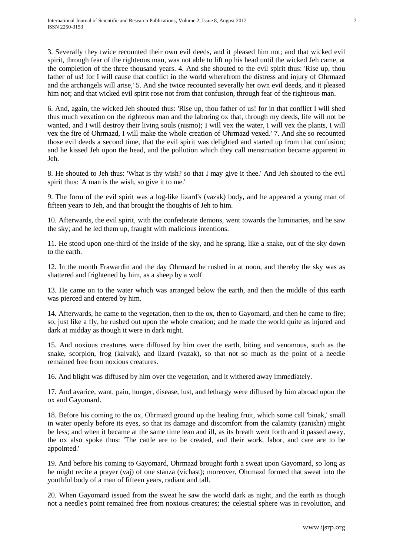3. Severally they twice recounted their own evil deeds, and it pleased him not; and that wicked evil spirit, through fear of the righteous man, was not able to lift up his head until the wicked Jeh came, at the completion of the three thousand years. 4. And she shouted to the evil spirit thus: 'Rise up, thou father of us! for I will cause that conflict in the world wherefrom the distress and injury of Ohrmazd and the archangels will arise,' 5. And she twice recounted severally her own evil deeds, and it pleased him not; and that wicked evil spirit rose not from that confusion, through fear of the righteous man.

6. And, again, the wicked Jeh shouted thus: 'Rise up, thou father of us! for in that conflict I will shed thus much vexation on the righteous man and the laboring ox that, through my deeds, life will not be wanted, and I will destroy their living souls (nismo); I will vex the water, I will vex the plants, I will vex the fire of Ohrmazd, I will make the whole creation of Ohrmazd vexed.' 7. And she so recounted those evil deeds a second time, that the evil spirit was delighted and started up from that confusion; and he kissed Jeh upon the head, and the pollution which they call menstruation became apparent in Jeh.

8. He shouted to Jeh thus: 'What is thy wish? so that I may give it thee.' And Jeh shouted to the evil spirit thus: 'A man is the wish, so give it to me.'

9. The form of the evil spirit was a log-like lizard's (vazak) body, and he appeared a young man of fifteen years to Jeh, and that brought the thoughts of Jeh to him.

10. Afterwards, the evil spirit, with the confederate demons, went towards the luminaries, and he saw the sky; and he led them up, fraught with malicious intentions.

11. He stood upon one-third of the inside of the sky, and he sprang, like a snake, out of the sky down to the earth.

12. In the month Frawardin and the day Ohrmazd he rushed in at noon, and thereby the sky was as shattered and frightened by him, as a sheep by a wolf.

13. He came on to the water which was arranged below the earth, and then the middle of this earth was pierced and entered by him.

14. Afterwards, he came to the vegetation, then to the ox, then to Gayomard, and then he came to fire; so, just like a fly, he rushed out upon the whole creation; and he made the world quite as injured and dark at midday as though it were in dark night.

15. And noxious creatures were diffused by him over the earth, biting and venomous, such as the snake, scorpion, frog (kalvak), and lizard (vazak), so that not so much as the point of a needle remained free from noxious creatures.

16. And blight was diffused by him over the vegetation, and it withered away immediately.

17. And avarice, want, pain, hunger, disease, lust, and lethargy were diffused by him abroad upon the ox and Gayomard.

18. Before his coming to the ox, Ohrmazd ground up the healing fruit, which some call 'binak,' small in water openly before its eyes, so that its damage and discomfort from the calamity (zanishn) might be less; and when it became at the same time lean and ill, as its breath went forth and it passed away, the ox also spoke thus: 'The cattle are to be created, and their work, labor, and care are to be appointed.'

19. And before his coming to Gayomard, Ohrmazd brought forth a sweat upon Gayomard, so long as he might recite a prayer (vaj) of one stanza (vichast); moreover, Ohrmazd formed that sweat into the youthful body of a man of fifteen years, radiant and tall.

20. When Gayomard issued from the sweat he saw the world dark as night, and the earth as though not a needle's point remained free from noxious creatures; the celestial sphere was in revolution, and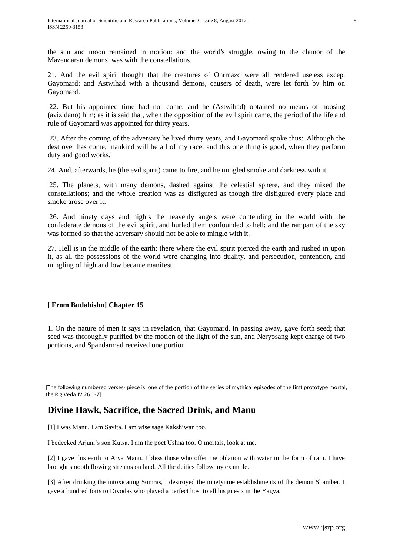the sun and moon remained in motion: and the world's struggle, owing to the clamor of the Mazendaran demons, was with the constellations.

21. And the evil spirit thought that the creatures of Ohrmazd were all rendered useless except Gayomard; and Astwihad with a thousand demons, causers of death, were let forth by him on Gayomard.

22. But his appointed time had not come, and he (Astwihad) obtained no means of noosing (avizidano) him; as it is said that, when the opposition of the evil spirit came, the period of the life and rule of Gayomard was appointed for thirty years.

23. After the coming of the adversary he lived thirty years, and Gayomard spoke thus: 'Although the destroyer has come, mankind will be all of my race; and this one thing is good, when they perform duty and good works.'

24. And, afterwards, he (the evil spirit) came to fire, and he mingled smoke and darkness with it.

25. The planets, with many demons, dashed against the celestial sphere, and they mixed the constellations; and the whole creation was as disfigured as though fire disfigured every place and smoke arose over it.

26. And ninety days and nights the heavenly angels were contending in the world with the confederate demons of the evil spirit, and hurled them confounded to hell; and the rampart of the sky was formed so that the adversary should not be able to mingle with it.

27. Hell is in the middle of the earth; there where the evil spirit pierced the earth and rushed in upon it, as all the possessions of the world were changing into duality, and persecution, contention, and mingling of high and low became manifest.

## **[ From Budahishn] Chapter 15**

1. On the nature of men it says in revelation, that Gayomard, in passing away, gave forth seed; that seed was thoroughly purified by the motion of the light of the sun, and Neryosang kept charge of two portions, and Spandarmad received one portion.

[The following numbered verses- piece is one of the portion of the series of mythical episodes of the first prototype mortal, the Rig Veda:IV.26.1-7]:

# **Divine Hawk, Sacrifice, the Sacred Drink, and Manu**

[1] I was Manu. I am Savita. I am wise sage Kakshiwan too.

I bedecked Arjuni"s son Kutsa. I am the poet Ushna too. O mortals, look at me.

[2] I gave this earth to Arya Manu. I bless those who offer me oblation with water in the form of rain. I have brought smooth flowing streams on land. All the deities follow my example.

[3] After drinking the intoxicating Somras, I destroyed the ninetynine establishments of the demon Shamber. I gave a hundred forts to Divodas who played a perfect host to all his guests in the Yagya.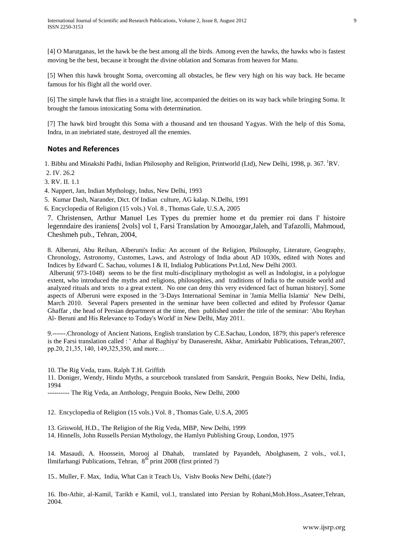[4] O Marutganas, let the hawk be the best among all the birds. Among even the hawks, the hawks who is fastest moving be the best, because it brought the divine oblation and Somaras from heaven for Manu.

[5] When this hawk brought Soma, overcoming all obstacles, he flew very high on his way back. He became famous for his flight all the world over.

[6] The simple hawk that flies in a straight line, accompanied the deities on its way back while bringing Soma. It brought the famous intoxicating Soma with determination.

[7] The hawk bird brought this Soma with a thousand and ten thousand Yagyas. With the help of this Soma, Indra, in an inebriated state, destroyed all the enemies.

#### **Notes and References**

1. Bibhu and Minakshi Padhi, Indian Philosophy and Religion, Printworld (Ltd), New Delhi, 1998, p. 367. <sup>1</sup>RV.

2. IV. 26.2

3. RV. II. 1.1

4. Nappert, Jan, Indian Mythology, Indus, New Delhi, 1993

5. Kumar Dash, Narander, Dict. Of Indian culture, AG kalap. N.Delhi, 1991

6. Encyclopedia of Religion (15 vols.) Vol. 8 , Thomas Gale, U.S.A, 2005

7. Christensen, Arthur Manuel Les Types du premier home et du premier roi dans l' histoire legenndaire des iraniens[ 2vols] vol 1, Farsi Translation by Amoozgar,Jaleh, and Tafazolli, Mahmoud, Cheshmeh pub., Tehran, 2004,

8. Alberuni, Abu Reihan, Alberuni's India: An account of the Religion, Philosophy, Literature, Geography, Chronology, Astronomy, Customes, Laws, and Astrology of India about AD 1030s, edited with Notes and Indices by Edward C. Sachau, volumes I & II, Indialog Publications Pvt.Ltd, New Delhi 2003.

Alberuni( 973-1048) seems to be the first multi-disciplinary mythologist as well as Indologist, in a polylogue extent, who introduced the myths and religions, philosophies, and traditions of India to the outside world and analyzed rituals and texts to a great extent. No one can deny this very evidenced fact of human history]. Some aspects of Alberuni were exposed in the '3-Days International Seminar in 'Jamia Mellia Islamia' New Delhi, March 2010. Several Papers presented in the seminar have been collected and edited by Professor Qamar Ghaffar , the head of Persian department at the time, then published under the title of the seminar: 'Abu Reyhan Al- Beruni and His Relevance to Today's World' in New Delhi, May 2011.

9.------.Chronology of Ancient Nations, English translation by C.E.Sachau, London, 1879; this paper's reference is the Farsi translation called : ' Athar al Baghiya' by Danaseresht, Akbar, Amirkabir Publications, Tehran,2007, pp.20, 21,35, 140, 149,325,350, and more…

10. The Rig Veda, trans. Ralph T.H. Griffith

11. Doniger, Wendy, Hindu Myths, a sourcebook translated from Sanskrit, Penguin Books, New Delhi, India, 1994

---------- The Rig Veda, an Anthology, Penguin Books, New Delhi, 2000

12. Encyclopedia of Religion (15 vols.) Vol. 8 , Thomas Gale, U.S.A, 2005

13. Griswold, H.D., The Religion of the Rig Veda, MBP, New Delhi, 1999

14. Hinnells, John Russells Persian Mythology, the Hamlyn Publishing Group, London, 1975

14. Masaudi, A. Hoossein, Morooj al Dhahab, translated by Payandeh, Abolghasem, 2 vols., vol.1, Ilmifarhangi Publications, Tehran,  $8<sup>th</sup>$  print 2008 (first printed ?)

15.. Muller, F. Max, India, What Can it Teach Us, Vishv Books New Delhi, (date?)

16. Ibn-Athir, al-Kamil, Tarikh e Kamil, vol.1, translated into Persian by Rohani,Moh.Hoss.,Asateer,Tehran, 2004.